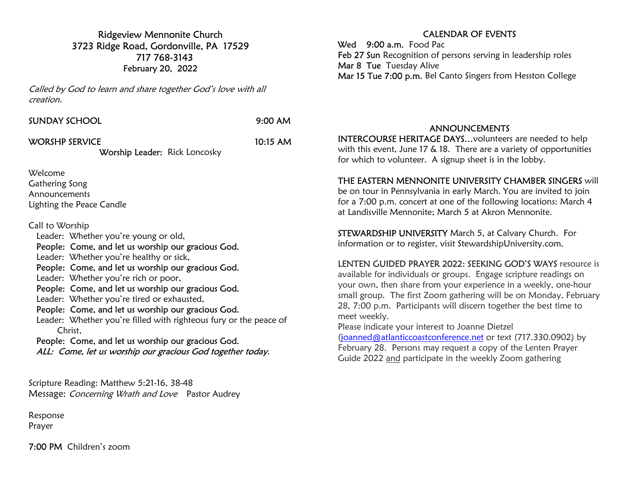Ridgeview Mennonite Church 3723 Ridge Road, Gordonville, PA 17529 717 768-3143 February 20, 2022

Called by God to learn and share together God's love with all creation.

| SUNDAY SCHOOL |  |
|---------------|--|
|               |  |

9:00 AM

WORSHP SERVICE 10:15 AM

Worship Leader: Rick Loncosky

Welcome

Gathering Song Announcements Lighting the Peace Candle

Call to Worship

Leader: Whether you're young or old,

People: Come, and let us worship our gracious God.

Leader: Whether you're healthy or sick,

People: Come, and let us worship our gracious God.

Leader: Whether you're rich or poor,

People: Come, and let us worship our gracious God.

Leader: Whether you're tired or exhausted,

People: Come, and let us worship our gracious God.

 Leader: Whether you're filled with righteous fury or the peace of Christ,

 People: Come, and let us worship our gracious God. ALL: Come, let us worship our gracious God together today.

Scripture Reading: Matthew 5:21-16, 38-48 Message: Concerning Wrath and Love Pastor Audrey

Response Prayer

7:00 PM Children's zoom

## CALENDAR OF EVENTS

Wed 9:00 a.m. Food Pac Feb 27 Sun Recognition of persons serving in leadership roles Mar 8 Tue Tuesday Alive Mar 15 Tue 7:00 p.m. Bel Canto Singers from Hesston College

## ANNOUNCEMENTS

INTERCOURSE HERITAGE DAYS…volunteers are needed to help with this event, June 17 & 18. There are a variety of opportunities for which to volunteer. A signup sheet is in the lobby.

#### THE EASTERN MENNONITE UNIVERSITY CHAMBER SINGERS will

be on tour in Pennsylvania in early March. You are invited to join for a 7:00 p.m. concert at one of the following locations: March 4 at Landisville Mennonite; March 5 at Akron Mennonite.

STEWARDSHIP UNIVERSITY March 5, at Calvary Church. For information or to register, visit StewardshipUniversity.com.

## LENTEN GUIDED PRAYER 2022: SEEKING GOD'S WAYS resource is

available for individuals or groups. Engage scripture readings on your own, then share from your experience in a weekly, one-hour small group. The first Zoom gathering will be on Monday, February 28, 7:00 p.m. Participants will discern together the best time to meet weekly.

Please indicate your interest to Joanne Dietzel (joanned@atlanticcoastconference.net or text (717.330.0902) by February 28. Persons may request a copy of the Lenten Prayer Guide 2022 and participate in the weekly Zoom gathering